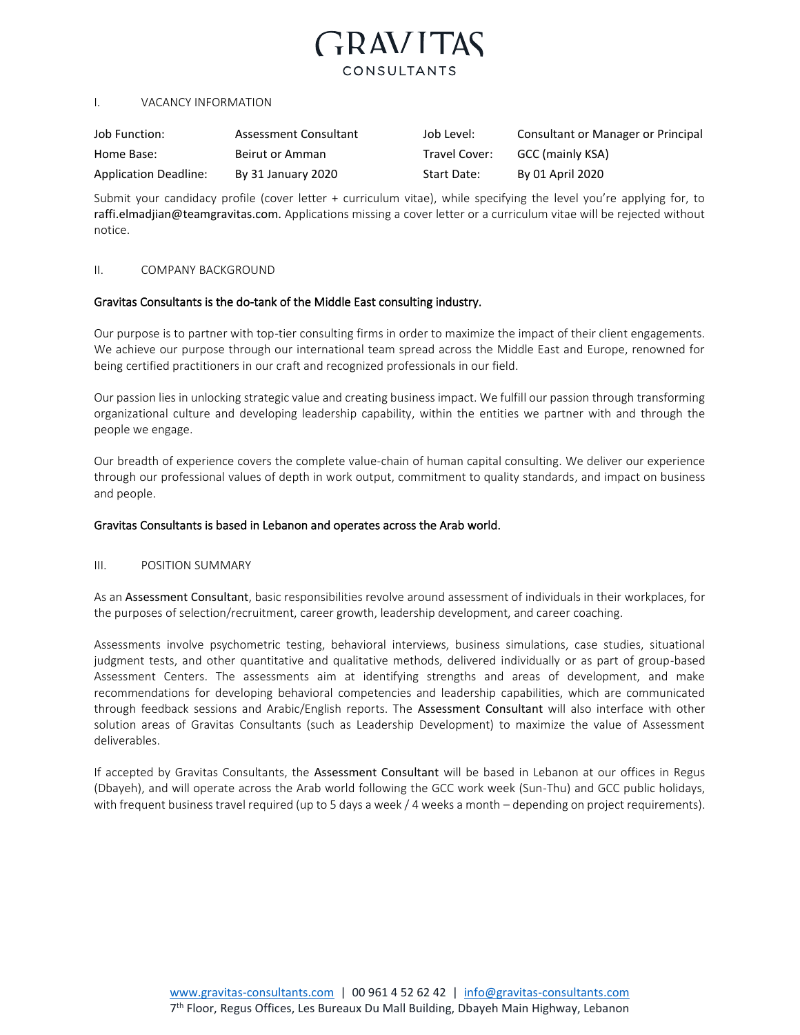# **GRAVITAS** CONSULTANTS

#### I. VACANCY INFORMATION

| Job Function:         | Assessment Consultant | Job Level:    | Consultant or Manager or Principal |
|-----------------------|-----------------------|---------------|------------------------------------|
| Home Base:            | Beirut or Amman       | Travel Cover: | GCC (mainly KSA)                   |
| Application Deadline: | By 31 January 2020    | Start Date:   | By 01 April 2020                   |

Submit your candidacy profile (cover letter + curriculum vitae), while specifying the level you're applying for, to raffi.elmadjian@teamgravitas.com. Applications missing a cover letter or a curriculum vitae will be rejected without notice.

#### II. COMPANY BACKGROUND

## Gravitas Consultants is the do-tank of the Middle East consulting industry.

Our purpose is to partner with top-tier consulting firms in order to maximize the impact of their client engagements. We achieve our purpose through our international team spread across the Middle East and Europe, renowned for being certified practitioners in our craft and recognized professionals in our field.

Our passion lies in unlocking strategic value and creating business impact. We fulfill our passion through transforming organizational culture and developing leadership capability, within the entities we partner with and through the people we engage.

Our breadth of experience covers the complete value-chain of human capital consulting. We deliver our experience through our professional values of depth in work output, commitment to quality standards, and impact on business and people.

# Gravitas Consultants is based in Lebanon and operates across the Arab world.

#### III. POSITION SUMMARY

As an Assessment Consultant, basic responsibilities revolve around assessment of individuals in their workplaces, for the purposes of selection/recruitment, career growth, leadership development, and career coaching.

Assessments involve psychometric testing, behavioral interviews, business simulations, case studies, situational judgment tests, and other quantitative and qualitative methods, delivered individually or as part of group-based Assessment Centers. The assessments aim at identifying strengths and areas of development, and make recommendations for developing behavioral competencies and leadership capabilities, which are communicated through feedback sessions and Arabic/English reports. The Assessment Consultant will also interface with other solution areas of Gravitas Consultants (such as Leadership Development) to maximize the value of Assessment deliverables.

If accepted by Gravitas Consultants, the Assessment Consultant will be based in Lebanon at our offices in Regus (Dbayeh), and will operate across the Arab world following the GCC work week (Sun-Thu) and GCC public holidays, with frequent business travel required (up to 5 days a week / 4 weeks a month – depending on project requirements).